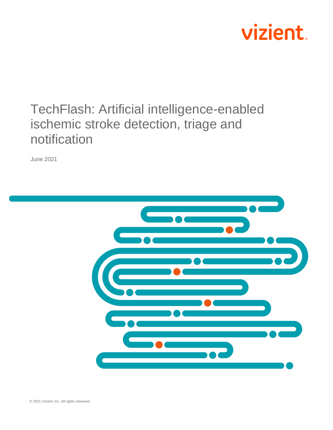

## TechFlash: Artificial intelligence-enabled ischemic stroke detection, triage and notification

June 2021

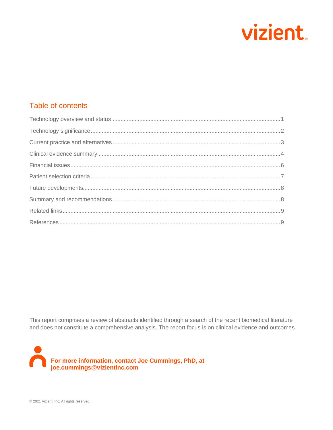

## Table of contents

This report comprises a review of abstracts identified through a search of the recent biomedical literature and does not constitute a comprehensive analysis. The report focus is on clinical evidence and outcomes.

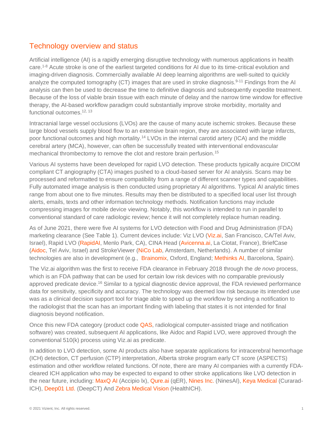## <span id="page-2-0"></span>Technology overview and status

Artificial intelligence (AI) is a rapidly emerging disruptive technology with numerous applications in health care.[1-8](#page-10-2) Acute stroke is one of the earliest targeted conditions for AI due to its time-critical evolution and imaging-driven diagnosis. Commercially available AI deep learning algorithms are well-suited to quickly analyze the computed tomography (CT) images that are used in stroke diagnosis.<sup>[9-11](#page-11-0)</sup> Findings from the AI analysis can then be used to decrease the time to definitive diagnosis and subsequently expedite treatment. Because of the loss of viable brain tissue with each minute of delay and the narrow time window for effective therapy, the AI-based workflow paradigm could substantially improve stroke morbidity, mortality and functional outcomes <sup>[12,](#page-11-1) [13](#page-11-2)</sup>

Intracranial large vessel occlusions (LVOs) are the cause of many acute ischemic strokes. Because these large blood vessels supply blood flow to an extensive brain region, they are associated with large infarcts, poor functional outcomes and high mortality.[14](#page-11-3) LVOs in the internal carotid artery (ICA) and the middle cerebral artery (MCA), however, can often be successfully treated with interventional endovascular mechanical thrombectomy to remove the clot and restore brain perfusion.<sup>[15](#page-11-4)</sup>

Various AI systems have been developed for rapid LVO detection. These products typically acquire DICOM compliant CT angiography (CTA) images pushed to a cloud-based server for AI analysis. Scans may be processed and reformatted to ensure compatibility from a range of different scanner types and capabilities. Fully automated image analysis is then conducted using proprietary AI algorithms. Typical AI analytic times range from about one to five minutes. Results may then be distributed to a specified local user list through alerts, emails, texts and other information technology methods. Notification functions may include compressing images for mobile device viewing. Notably, this workflow is intended to run in parallel to conventional standard of care radiologic review; hence it will not completely replace human reading.

As of June 2021, there were five AI systems for LVO detection with Food and Drug Administration (FDA) marketing clearance (See Table 1). Current devices include: Viz LVO [\(Viz.ai,](https://www.viz.ai/) San Francisco, CA/Tel Aviv, Israel), Rapid LVO [\(RapidAI,](https://www.rapidai.com/) Menlo Park, CA), CINA Head [\(Avicenna.ai,](https://avicenna.ai/) La Ciotat, France), BriefCase [\(Aidoc,](https://www.aidoc.com/) Tel Aviv, Israel) and StrokeViewer [\(NiCo Lab,](https://www.nico-lab.com/) Amsterdam, Netherlands). A number of similar technologies are also in development (e.g., [Brainomix,](https://www.brainomix.com/) Oxford, England; [Methinks AI,](https://www.methinks.ai/) Barcelona, Spain).

The Viz.ai algorithm was the first to receive FDA clearance in February 2018 through the *de novo* process, which is an FDA pathway that can be used for certain low risk devices with no comparable previously approved predicate device.<sup>[16](#page-11-5)</sup> Similar to a typical diagnostic device approval, the FDA reviewed performance data for sensitivity, specificity and accuracy. The technology was deemed low risk because its intended use was as a clinical decision support tool for triage able to speed up the workflow by sending a notification to the radiologist that the scan has an important finding with labeling that states it is not intended for final diagnosis beyond notification.

Once this new FDA category (product code [QAS,](https://www.accessdata.fda.gov/scripts/cdrh/cfdocs/cfpmn/pmn.cfm?start_search=1&Center=&Panel=&ProductCode=qas&KNumber=&Applicant=&DeviceName=&Type=&ThirdPartyReviewed=&ClinicalTrials=&Decision=&DecisionDateFrom=&DecisionDateTo=05%2F24%2F2021&IVDProducts=&Redact510K=&CombinationProducts=&ZNumber=&PAGENUM=25) radiological computer-assisted triage and notification software) was created, subsequent AI applications, like Aidoc and Rapid LVO, were approved through the conventional 510(k) process using Viz.ai as predicate.

In addition to LVO detection, some AI products also have separate applications for intracerebral hemorrhage (ICH) detection, CT perfusion (CTP) interpretation, Alberta stroke program early CT score (ASPECTS) estimation and other workflow related functions. Of note, there are many AI companies with a currently FDAcleared ICH application who may be expected to expand to other stroke applications like LVO detection in the near future, including: [MaxQ AI](https://www.maxq.ai/) (Accipio lx), [Qure.ai](https://qure.ai/) (qER), [Nines Inc.](https://www.nines.com/) (NinesAI), [Keya Medical](https://www.keyamedical.com/curacloud/) (Curarad-ICH), [Deep01 Ltd.](https://www.deep01.com/) (DeepCT) And [Zebra Medical Vision](https://www.zebra-med.com/) (HealthICH).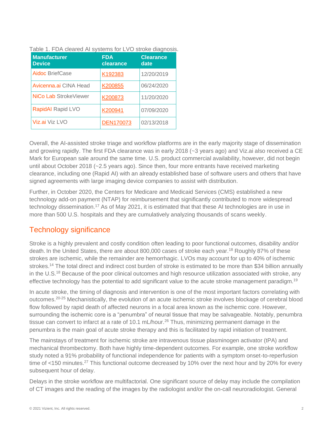| <b>Manufacturer</b><br><b>Device</b> | <b>FDA</b><br>clearance | <b>Clearance</b><br>date |
|--------------------------------------|-------------------------|--------------------------|
| <b>Aidoc BriefCase</b>               | K192383                 | 12/20/2019               |
| Avicenna.ai CINA Head                | K200855                 | 06/24/2020               |
| NiCo Lab StrokeViewer                | K200873                 | 11/20/2020               |
| <b>RapidAI</b> Rapid LVO             | K200941                 | 07/09/2020               |
| Viz.ai Viz LVO                       | <b>DEN170073</b>        | 02/13/2018               |

Table 1. FDA cleared AI systems for LVO stroke diagnosis.

Overall, the AI-assisted stroke triage and workflow platforms are in the early majority stage of dissemination and growing rapidly. The first FDA clearance was in early 2018 (~3 years ago) and Viz.ai also received a CE Mark for European sale around the same time. U.S. product commercial availability, however, did not begin until about October 2018 (~2.5 years ago). Since then, four more entrants have received marketing clearance, including one (Rapid AI) with an already established base of software users and others that have signed agreements with large imaging device companies to assist with distribution.

Further, in October 2020, the Centers for Medicare and Medicaid Services (CMS) established a new technology add-on payment (NTAP) for reimbursement that significantly contributed to more widespread technology dissemination.<sup>[17](#page-11-6)</sup> As of May 2021, it is estimated that that these AI technologies are in use in more than 500 U.S. hospitals and they are cumulatively analyzing thousands of scans weekly.

## <span id="page-3-0"></span>Technology significance

Stroke is a highly prevalent and costly condition often leading to poor functional outcomes, disability and/or death. In the United States, there are about 800,000 cases of stroke each year.<sup>[18](#page-11-7)</sup> Roughly 87% of these strokes are ischemic, while the remainder are hemorrhagic. LVOs may account for up to 40% of ischemic strokes.<sup>[14](#page-11-3)</sup> The total direct and indirect cost burden of stroke is estimated to be more than \$34 billion annually in the U.S.[18](#page-11-7) Because of the poor clinical outcomes and high resource utilization associated with stroke, any effective technology has the potential to add significant value to the acute stroke management paradigm.<sup>[19](#page-11-8)</sup>

In acute stroke, the timing of diagnosis and intervention is one of the most important factors correlating with outcomes.<sup>[20-25](#page-11-9)</sup> Mechanistically, the evolution of an acute ischemic stroke involves blockage of cerebral blood flow followed by rapid death of affected neurons in a focal area known as the ischemic core. However, surrounding the ischemic core is a "penumbra" of neural tissue that may be salvageable. Notably, penumbra tissue can convert to infarct at a rate of 10.1 mL/hour.<sup>[26](#page-12-0)</sup> Thus, minimizing permanent damage in the penumbra is the main goal of acute stroke therapy and this is facilitated by rapid initiation of treatment.

The mainstays of treatment for ischemic stroke are intravenous tissue plasminogen activator (tPA) and mechanical thrombectomy. Both have highly time-dependent outcomes. For example, one stroke workflow study noted a 91% probability of functional independence for patients with a symptom onset-to-reperfusion time of <150 minutes.<sup>[27](#page-12-1)</sup> This functional outcome decreased by 10% over the next hour and by 20% for every subsequent hour of delay.

Delays in the stroke workflow are multifactorial. One significant source of delay may include the compilation of CT images and the reading of the images by the radiologist and/or the on-call neuroradiologist. General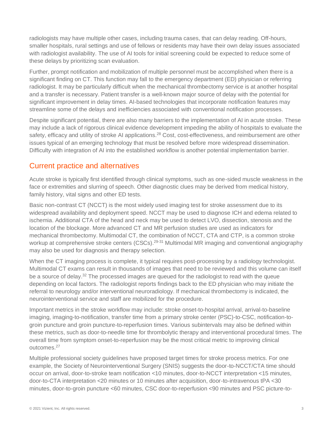radiologists may have multiple other cases, including trauma cases, that can delay reading. Off-hours, smaller hospitals, rural settings and use of fellows or residents may have their own delay issues associated with radiologist availability. The use of AI tools for initial screening could be expected to reduce some of these delays by prioritizing scan evaluation.

Further, prompt notification and mobilization of multiple personnel must be accomplished when there is a significant finding on CT. This function may fall to the emergency department (ED) physician or referring radiologist. It may be particularly difficult when the mechanical thrombectomy service is at another hospital and a transfer is necessary. Patient transfer is a well-known major source of delay with the potential for significant improvement in delay times. AI-based technologies that incorporate notification features may streamline some of the delays and inefficiencies associated with conventional notification processes.

Despite significant potential, there are also many barriers to the implementation of AI in acute stroke. These may include a lack of rigorous clinical evidence development impeding the ability of hospitals to evaluate the safety, efficacy and utility of stroke AI applications.<sup>[28](#page-12-2)</sup> Cost, cost-effectiveness, and reimbursement are other issues typical of an emerging technology that must be resolved before more widespread dissemination. Difficulty with integration of AI into the established workflow is another potential implementation barrier.

## <span id="page-4-0"></span>Current practice and alternatives

Acute stroke is typically first identified through clinical symptoms, such as one-sided muscle weakness in the face or extremities and slurring of speech. Other diagnostic clues may be derived from medical history, family history, vital signs and other ED tests.

Basic non-contrast CT (NCCT) is the most widely used imaging test for stroke assessment due to its widespread availability and deployment speed. NCCT may be used to diagnose ICH and edema related to ischemia. Additional CTA of the head and neck may be used to detect LVO, dissection, stenosis and the location of the blockage. More advanced CT and MR perfusion studies are used as indicators for mechanical thrombectomy. Multimodal CT, the combination of NCCT, CTA and CTP, is a common stroke workup at comprehensive stroke centers (CSCs).<sup>[29-31](#page-12-3)</sup> Multimodal MR imaging and conventional angiography may also be used for diagnosis and therapy selection.

When the CT imaging process is complete, it typical requires post-processing by a radiology technologist. Multimodal CT exams can result in thousands of images that need to be reviewed and this volume can itself be a source of delay.<sup>[32](#page-12-4)</sup> The processed images are queued for the radiologist to read with the queue depending on local factors. The radiologist reports findings back to the ED physician who may initiate the referral to neurology and/or interventional neuroradiology. If mechanical thrombectomy is indicated, the neurointerventional service and staff are mobilized for the procedure.

Important metrics in the stroke workflow may include: stroke onset-to-hospital arrival, arrival-to-baseline imaging, imaging-to-notification, transfer time from a primary stroke center (PSC)-to-CSC, notification-togroin puncture and groin puncture-to-reperfusion times. Various subintervals may also be defined within these metrics, such as door-to-needle time for thrombolytic therapy and interventional procedural times. The overall time from symptom onset-to-reperfusion may be the most critical metric to improving clinical outcomes.[27](#page-12-1)

Multiple professional society guidelines have proposed target times for stroke process metrics. For one example, the Society of Neurointerventional Surgery (SNIS) suggests the door-to-NCCT/CTA time should occur on arrival, door-to-stroke team notification <10 minutes, door-to-NCCT interpretation <15 minutes, door-to-CTA interpretation <20 minutes or 10 minutes after acquisition, door-to-intravenous tPA <30 minutes, door-to-groin puncture <60 minutes, CSC door-to-reperfusion <90 minutes and PSC picture-to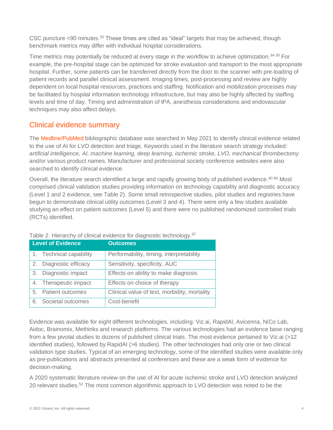CSC puncture <90 minutes.<sup>[33](#page-12-5)</sup> These times are cited as "ideal" targets that may be achieved, though benchmark metrics may differ with individual hospital considerations.

Time metrics may potentially be reduced at every stage in the workflow to achieve optimization.<sup>[34-39](#page-12-6)</sup> For example, the pre-hospital stage can be optimized for stroke evaluation and transport to the most appropriate hospital. Further, some patients can be transferred directly from the door to the scanner with pre-loading of patient records and parallel clinical assessment. Imaging times, post-processing and review are highly dependent on local hospital resources, practices and staffing. Notification and mobilization processes may be facilitated by hospital information technology infrastructure, but may also be highly affected by staffing levels and time of day. Timing and administration of tPA, anesthesia considerations and endovascular techniques may also affect delays.

## <span id="page-5-0"></span>Clinical evidence summary

The [Medline/PubMed](https://www.ncbi.nlm.nih.gov/pubmed) bibliographic database was searched in May 2021 to identify clinical evidence related to the use of AI for LVO detection and triage. Keywords used in the literature search strategy included*: artificial intelligence, AI, machine learning, deep learning, ischemic stroke, LVO, mechanical thrombectomy*  and/or various product names. Manufacturer and professional society conference websites were also searched to identify clinical evidence.

Overall, the literature search identified a large and rapidly growing body of published evidence.<sup>[40-66](#page-12-7)</sup> Most comprised clinical validation studies providing information on technology capability and diagnostic accuracy (Level 1 and 2 evidence, see Table 2). Some small retrospective studies, pilot studies and registries have begun to demonstrate clinical utility outcomes (Level 3 and 4). There were only a few studies available studying an effect on patient outcomes (Level 5) and there were no published randomized controlled trials (RCTs) identified.

|    | <b>Level of Evidence</b> | <b>Outcomes</b>                              |
|----|--------------------------|----------------------------------------------|
|    | 1. Technical capability  | Performability, timing, interpretability     |
| 2. | Diagnostic efficacy      | Sensitivity, specificity, AUC                |
| 3. | Diagnostic impact        | Effects on ability to make diagnosis         |
|    | 4. Therapeutic impact    | Effects on choice of therapy                 |
|    | 5. Patient outcomes      | Clinical value of test, morbidity, mortality |
| 6. | Societal outcomes        | Cost-benefit                                 |

Table 2. Hierarchy of clinical evidence for diagnostic technology.<sup>[67](#page-14-0)</sup>

Evidence was available for eight different technologies, including: Viz.ai, RapidAI, Avicenna, NiCo Lab, Aidoc, Brainomix, Methinks and research platforms. The various technologies had an evidence base ranging from a few pivotal studies to dozens of published clinical trials. The most evidence pertained to Viz.ai (>12 identified studies), followed by RapidAI (>6 studies). The other technologies had only one or two clinical validation type studies. Typical of an emerging technology, some of the identified studies were available only as pre-publications and abstracts presented at conferences and these are a weak form of evidence for decision-making.

A 2020 systematic literature review on the use of AI for acute ischemic stroke and LVO detection analyzed 20 relevant studies.<sup>[52](#page-13-0)</sup> The most common algorithmic approach to LVO detection was noted to be the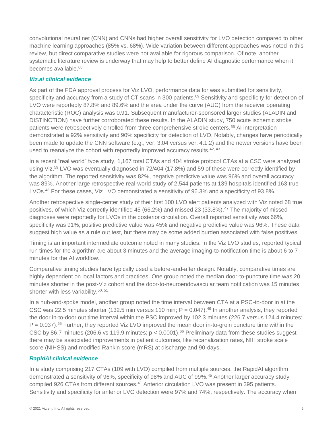convolutional neural net (CNN) and CNNs had higher overall sensitivity for LVO detection compared to other machine learning approaches (85% vs. 68%). Wide variation between different approaches was noted in this review, but direct comparative studies were not available for rigorous comparison. Of note, another systematic literature review is underway that may help to better define AI diagnostic performance when it becomes available.<sup>[68](#page-14-1)</sup>

#### *Viz.ai clinical evidence*

As part of the FDA approval process for Viz LVO, performance data for was submitted for sensitivity, specificity and accuracy from a study of CT scans in 300 patients.<sup>[69](#page-14-2)</sup> Sensitivity and specificity for detection of LVO were reportedly 87.8% and 89.6% and the area under the curve (AUC) from the receiver operating characteristic (ROC) analysis was 0.91. Subsequent manufacturer-sponsored larger studies (ALADIN and DISTINCTION) have further corroborated these results. In the ALADIN study, 750 acute ischemic stroke patients were retrospectively enrolled from three comprehensive stroke centers.[56](#page-13-1) AI interpretation demonstrated a 92% sensitivity and 90% specificity for detection of LVO. Notably, changes have periodically been made to update the CNN software (e.g., ver. 3.04 versus ver. 4.1.2) and the newer versions have been used to reanalyze the cohort with reportedly improved accuracy results.<sup>[42,](#page-13-2) [43](#page-13-3)</sup>

In a recent "real world" type study, 1,167 total CTAs and 404 stroke protocol CTAs at a CSC were analyzed using Viz.<sup>[59](#page-14-3)</sup> LVO was eventually diagnosed in 72/404 (17.8%) and 59 of these were correctly identified by the algorithm. The reported sensitivity was 82%, negative predictive value was 96% and overall accuracy was 89%. Another large retrospective real-world study of 2,544 patients at 139 hospitals identified 163 true LVOs.[48](#page-13-4) For these cases, Viz LVO demonstrated a sensitivity of 96.3% and a specificity of 93.8%.

Another retrospective single-center study of their first 100 LVO alert patients analyzed with Viz noted 68 true positives, of which Viz correctly identified 45 (66.2%) and missed 23 (33.8%).[47](#page-13-5) The majority of missed diagnoses were reportedly for LVOs in the posterior circulation. Overall reported sensitivity was 66%, specificity was 91%, positive predictive value was 45% and negative predictive value was 96%. These data suggest high value as a rule out test, but there may be some added burden associated with false positives.

Timing is an important intermediate outcome noted in many studies. In the Viz LVO studies, reported typical run times for the algorithm are about 3 minutes and the average imaging-to-notification time is about 6 to 7 minutes for the AI workflow.

Comparative timing studies have typically used a before-and-after design. Notably, comparative times are highly dependent on local factors and practices. One group noted the median door-to-puncture time was 20 minutes shorter in the post-Viz cohort and the door-to-neuroendovascular team notification was 15 minutes shorter with less variability.<sup>[50,](#page-13-6) [51](#page-13-7)</sup>

In a hub-and-spoke model, another group noted the time interval between CTA at a PSC-to-door in at the CSC was 22.5 minutes shorter (132.5 min versus 110 min;  $P = 0.047$ ).<sup>[49](#page-13-8)</sup> In another analysis, they reported the door in-to-door out time interval within the PSC improved by 102.3 minutes (226.7 versus 124.4 minutes;  $P = 0.037$ ).<sup>[65](#page-14-4)</sup> Further, they reported Viz LVO improved the mean door in-to-groin puncture time within the CSC by 86.7 minutes (206.6 vs 119.9 minutes;  $p < 0.0001$ ).<sup>[66](#page-14-5)</sup> Preliminary data from these studies suggest there may be associated improvements in patient outcomes, like recanalization rates, NIH stroke scale score (NIHSS) and modified Rankin score (mRS) at discharge and 90-days.

#### *RapidAI clinical evidence*

In a study comprising 217 CTAs (109 with LVO) compiled from multiple sources, the RapidAI algorithm demonstrated a sensitivity of 96%, specificity of 98% and AUC of 99%.[45](#page-13-9) Another larger accuracy study compiled 926 CTAs from different sources.<sup>[41](#page-13-10)</sup> Anterior circulation LVO was present in 395 patients. Sensitivity and specificity for anterior LVO detection were 97% and 74%, respectively. The accuracy when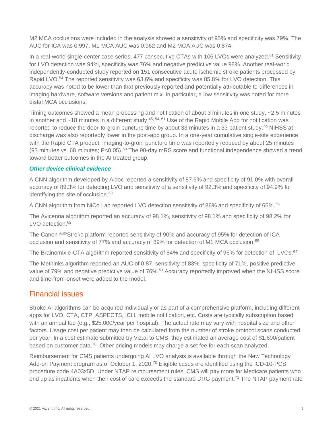M2 MCA occlusions were included in the analysis showed a sensitivity of 95% and specificity was 79%. The AUC for ICA was 0.997, M1 MCA AUC was 0.962 and M2 MCA AUC was 0.874.

In a real-world single-center case series, 477 consecutive CTAs with 106 LVOs were analyzed.<sup>[61](#page-14-6)</sup> Sensitivity for LVO detection was 94%, specificity was 76% and negative predictive value 98%. Another real-world independently-conducted study reported on 151 consecutive acute ischemic stroke patients processed by Rapid LVO.[54](#page-13-11) The reported sensitivity was 63.6% and specificity was 85.8% for LVO detection. This accuracy was noted to be lower than that previously reported and potentially attributable to differences in imaging hardware, software versions and patient mix. In particular, a low sensitivity was noted for more distal MCA occlusions.

Timing outcomes showed a mean processing and notification of about 3 minutes in one study, ~2.5 minutes in another and ~18 minutes in a different study.<sup>[45,](#page-13-9) [54,](#page-13-11) [61](#page-14-6)</sup> Use of the Rapid Mobile App for notification was reported to reduce the door-to-groin puncture time by about 33 minutes in a 33 patient study.<sup>[40](#page-12-7)</sup> NIHSS at discharge was also reportedly lower in the post-app group. In a one-year cumulative single-site experience with the Rapid CTA product, imaging-to-groin puncture time was reportedly reduced by about 25 minutes (93 minutes vs. 68 minutes; P<0.05).[60](#page-14-7) The 90-day mRS score and functional independence showed a trend toward better outcomes in the AI treated group.

#### *Other device clinical evidence*

A CNN algorithm developed by Aidoc reported a sensitivity of 87.6% and specificity of 91.0% with overall accuracy of 89.3% for detecting LVO and sensitivity of a sensitivity of 92.3% and specificity of 94.9% for identifying the site of occlusion.<sup>[63](#page-14-8)</sup>

A CNN algorithm from NiCo Lab reported LVO detection sensitivity of 86% and specificity of 65%.<sup>[58](#page-14-9)</sup>

The Avicenna algorithm reported an accuracy of 98.1%, sensitivity of 98.1% and specificity of 98.2% for LVO detection.<sup>[62](#page-14-10)</sup>

The Canon AutoStroke platform reported sensitivity of 90% and accuracy of 95% for detection of ICA occlusion and sensitivity of 77% and accuracy of 89% for detection of M1 MCA occlusion.[55](#page-13-12)

The Brainomix e-CTA algorithm reported sensitivity of 84% and specificity of 96% for detection of LVOs.<sup>[64](#page-14-11)</sup>

The Methinks algorithm reported an AUC of 0.87, sensitivity of 83%, specificity of 71%, positive predictive value of 79% and negative predictive value of 76%.<sup>[53](#page-13-13)</sup> Accuracy reportedly improved when the NIHSS score and time-from-onset were added to the model.

#### <span id="page-7-0"></span>Financial issues

Stroke AI algorithms can be acquired individually or as part of a comprehensive platform, including different apps for LVO, CTA, CTP, ASPECTS, ICH, mobile notification, etc. Costs are typically subscription based with an annual fee (e.g., \$25,000/year per hospital). The actual rate may vary with hospital size and other factors. Usage cost per patient may then be calculated from the number of stroke protocol scans conducted per year. In a cost estimate submitted by Viz.ai to CMS, they estimated an average cost of \$1,600/patient based on customer data.<sup>[70](#page-14-12)</sup> Other pricing models may charge a set fee for each scan analyzed.

Reimbursement for CMS patients undergoing AI LVO analysis is available through the New Technology Add-on Payment program as of October 1, 2020.<sup>[70](#page-14-12)</sup> Eligible cases are identified using the ICD-10-PCS procedure code 4A03x5D. Under NTAP reimbursement rules, CMS will pay more for Medicare patients who end up as inpatients when their cost of care exceeds the standard DRG payment.<sup>[71](#page-14-13)</sup> The NTAP payment rate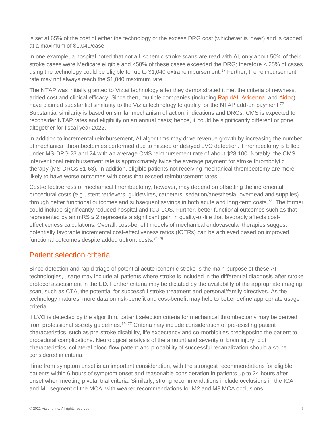is set at 65% of the cost of either the technology or the excess DRG cost (whichever is lower) and is capped at a maximum of \$1,040/case.

In one example, a hospital noted that not all ischemic stroke scans are read with AI, only about 50% of their stroke cases were Medicare eligible and <50% of these cases exceeded the DRG; therefore < 25% of cases using the technology could be eligible for up to \$1,040 extra reimbursement.<sup>[17](#page-11-6)</sup> Further, the reimbursement rate may not always reach the \$1,040 maximum rate.

The NTAP was initially granted to Viz.ai technology after they demonstrated it met the criteria of newness, added cost and clinical efficacy. Since then, multiple companies (including [RapidAI,](https://www.rapidai.com/press-release/rapidai-approved-for-medicare-new-technology-add-on-payment) [Avicenna,](https://avicenna.ai/stroke-detection-ai-tool-approved-for-medicare-ntap/) and [Aidoc\)](https://www.aidoc.com/blog/cms-approves-reimbursement-ai/) have claimed substantial similarity to the Viz.ai technology to qualify for the NTAP add-on payment.<sup>[72](#page-14-14)</sup> Substantial similarity is based on similar mechanism of action, indications and DRGs. CMS is expected to reconsider NTAP rates and eligibility on an annual basis; hence, it could be significantly different or gone altogether for fiscal year 2022.

In addition to incremental reimbursement, AI algorithms may drive revenue growth by increasing the number of mechanical thrombectomies performed due to missed or delayed LVO detection. Thrombectomy is billed under MS-DRG 23 and 24 with an average CMS reimbursement rate of about \$28,100. Notably, the CMS interventional reimbursement rate is approximately twice the average payment for stroke thrombolytic therapy (MS-DRGs 61-63). In addition, eligible patients not receiving mechanical thrombectomy are more likely to have worse outcomes with costs that exceed reimbursement rates.

Cost-effectiveness of mechanical thrombectomy, however, may depend on offsetting the incremental procedural costs (e.g., stent retrievers, guidewires, catheters, sedation/anesthesia, overhead and supplies) through better functional outcomes and subsequent savings in both acute and long-term costs.<sup>[73](#page-15-0)</sup> The former could include significantly reduced hospital and ICU LOS. Further, better functional outcomes such as that represented by an mRS ≤ 2 represents a significant gain in quality-of-life that favorably affects costeffectiveness calculations. Overall, cost-benefit models of mechanical endovascular therapies suggest potentially favorable incremental cost-effectiveness ratios (ICERs) can be achieved based on improved functional outcomes despite added upfront costs.<sup>[74-76](#page-15-1)</sup>

## <span id="page-8-0"></span>Patient selection criteria

Since detection and rapid triage of potential acute ischemic stroke is the main purpose of these AI technologies, usage may include all patients where stroke is included in the differential diagnosis after stroke protocol assessment in the ED. Further criteria may be dictated by the availability of the appropriate imaging scan, such as CTA, the potential for successful stroke treatment and personal/family directives. As the technology matures, more data on risk-benefit and cost-benefit may help to better define appropriate usage criteria.

If LVO is detected by the algorithm, patient selection criteria for mechanical thrombectomy may be derived from professional society quidelines.<sup>[19,](#page-11-8) [77](#page-15-2)</sup> Criteria may include consideration of pre-existing patient characteristics, such as pre-stroke disability, life expectancy and co-morbidities predisposing the patient to procedural complications. Neurological analysis of the amount and severity of brain injury, clot characteristics, collateral blood flow pattern and probability of successful recanalization should also be considered in criteria.

Time from symptom onset is an important consideration, with the strongest recommendations for eligible patients within 6 hours of symptom onset and reasonable consideration in patients up to 24 hours after onset when meeting pivotal trial criteria. Similarly, strong recommendations include occlusions in the ICA and M1 segment of the MCA, with weaker recommendations for M2 and M3 MCA occlusions.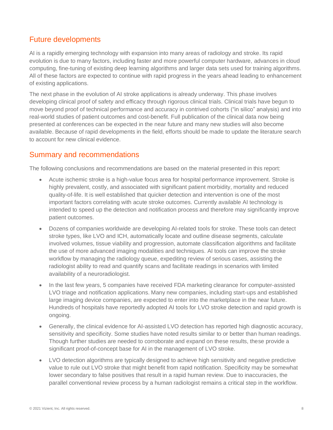## <span id="page-9-0"></span>Future developments

AI is a rapidly emerging technology with expansion into many areas of radiology and stroke. Its rapid evolution is due to many factors, including faster and more powerful computer hardware, advances in cloud computing, fine-tuning of existing deep learning algorithms and larger data sets used for training algorithms. All of these factors are expected to continue with rapid progress in the years ahead leading to enhancement of existing applications.

The next phase in the evolution of AI stroke applications is already underway. This phase involves developing clinical proof of safety and efficacy through rigorous clinical trials. Clinical trials have begun to move beyond proof of technical performance and accuracy in contrived cohorts ("in silico" analysis) and into real-world studies of patient outcomes and cost-benefit. Full publication of the clinical data now being presented at conferences can be expected in the near future and many new studies will also become available. Because of rapid developments in the field, efforts should be made to update the literature search to account for new clinical evidence.

## <span id="page-9-1"></span>Summary and recommendations

The following conclusions and recommendations are based on the material presented in this report:

- Acute ischemic stroke is a high-value focus area for hospital performance improvement. Stroke is highly prevalent, costly, and associated with significant patient morbidity, mortality and reduced quality-of-life. It is well established that quicker detection and intervention is one of the most important factors correlating with acute stroke outcomes. Currently available AI technology is intended to speed up the detection and notification process and therefore may significantly improve patient outcomes.
- Dozens of companies worldwide are developing AI-related tools for stroke. These tools can detect stroke types, like LVO and ICH, automatically locate and outline disease segments, calculate involved volumes, tissue viability and progression, automate classification algorithms and facilitate the use of more advanced imaging modalities and techniques. AI tools can improve the stroke workflow by managing the radiology queue, expediting review of serious cases, assisting the radiologist ability to read and quantify scans and facilitate readings in scenarios with limited availability of a neuroradiologist.
- In the last few years, 5 companies have received FDA marketing clearance for computer-assisted LVO triage and notification applications. Many new companies, including start-ups and established large imaging device companies, are expected to enter into the marketplace in the near future. Hundreds of hospitals have reportedly adopted AI tools for LVO stroke detection and rapid growth is ongoing.
- Generally, the clinical evidence for AI-assisted LVO detection has reported high diagnostic accuracy, sensitivity and specificity. Some studies have noted results similar to or better than human readings. Though further studies are needed to corroborate and expand on these results, these provide a significant proof-of-concept base for AI in the management of LVO stroke.
- LVO detection algorithms are typically designed to achieve high sensitivity and negative predictive value to rule out LVO stroke that might benefit from rapid notification. Specificity may be somewhat lower secondary to false positives that result in a rapid human review. Due to inaccuracies, the parallel conventional review process by a human radiologist remains a critical step in the workflow.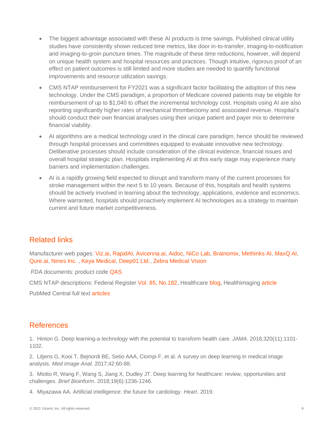- The biggest advantage associated with these AI products is time savings. Published clinical utility studies have consistently shown reduced time metrics, like door in-to-transfer, imaging-to-notification and imaging-to-groin puncture times. The magnitude of these time reductions, however, will depend on unique health system and hospital resources and practices. Though intuitive, rigorous proof of an effect on patient outcomes is still limited and more studies are needed to quantify functional improvements and resource utilization savings.
- CMS NTAP reimbursement for FY2021 was a significant factor facilitating the adoption of this new technology. Under the CMS paradigm, a proportion of Medicare covered patients may be eligible for reimbursement of up to \$1,040 to offset the incremental technology cost. Hospitals using AI are also reporting significantly higher rates of mechanical thrombectomy and associated revenue. Hospital's should conduct their own financial analyses using their unique patient and payer mix to determine financial viability.
- AI algorithms are a medical technology used in the clinical care paradigm, hence should be reviewed through hospital processes and committees equipped to evaluate innovative new technology. Deliberative processes should include consideration of the clinical evidence, financial issues and overall hospital strategic plan. Hospitals implementing AI at this early stage may experience many barriers and implementation challenges.
- AI is a rapidly growing field expected to disrupt and transform many of the current processes for stroke management within the next 5 to 10 years. Because of this, hospitals and health systems should be actively involved in learning about the technology, applications, evidence and economics. Where warranted, hospitals should proactively implement AI technologies as a strategy to maintain current and future market competitiveness.

## <span id="page-10-0"></span>Related links

Manufacturer web pages: [Viz.ai,](https://www.viz.ai/) [RapidAI,](https://www.rapidai.com/) [Avicenna.ai,](https://avicenna.ai/) [Aidoc,](https://www.aidoc.com/) [NiCo Lab,](https://www.nico-lab.com/) [Brainomix,](https://www.brainomix.com/) [Methinks AI,](https://www.methinks.ai/) [MaxQ AI,](https://www.maxq.ai/) [Qure.ai,](https://qure.ai/) [Nines Inc.](https://www.nines.com/) , [Keya Medical,](https://www.keyamedical.com/curacloud/) [Deep01 Ltd.,](https://www.deep01.com/) [Zebra Medical Vision](https://www.zebra-med.com/) 

FDA documents: product code [QAS](https://www.accessdata.fda.gov/scripts/cdrh/cfdocs/cfpmn/pmn.cfm?start_search=1&Center=&Panel=&ProductCode=qas&KNumber=&Applicant=&DeviceName=&Type=&ThirdPartyReviewed=&ClinicalTrials=&Decision=&DecisionDateFrom=&DecisionDateTo=05%2F24%2F2021&IVDProducts=&Redact510K=&CombinationProducts=&ZNumber=&PAGENUM=25)

CMS NTAP descriptions: Federal Register [Vol. 85, No.182,](https://www.govinfo.gov/app/details/FR-2020-09-18) Healthcare [blog,](https://thehealthcareblog.com/blog/2020/09/24/its-complicated-a-deep-dive-into-the-viz-medicare-ai-reimbursement-model/) Healthimaging [article](https://www.healthimaging.com/sponsored/22221/topics/healthcare-economics/how-cms-grants-new-technology-add-payments-determines)

<span id="page-10-1"></span>PubMed Central full text [articles](https://www.ncbi.nlm.nih.gov/pmc/?term=AI+LVO+stroke+triage)

#### References

<span id="page-10-2"></span>1. Hinton G. Deep learning-a technology with the potential to transform health care. *JAMA*. 2018;320(11):1101- 1102.

2. Litjens G, Kooi T, Bejnordi BE, Setio AAA, Ciompi F, et al. A survey on deep learning in medical image analysis. *Med Image Anal*. 2017;42:60-88.

3. Miotto R, Wang F, Wang S, Jiang X, Dudley JT. Deep learning for healthcare: review, opportunities and challenges. *Brief Bioinform*. 2018;19(6):1236-1246.

4. Miyazawa AA. Artificial intelligence: the future for cardiology. *Heart*. 2019.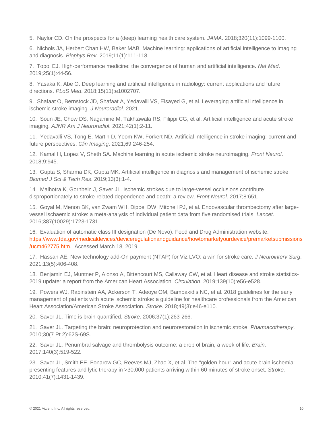5. Naylor CD. On the prospects for a (deep) learning health care system. *JAMA*. 2018;320(11):1099-1100.

6. Nichols JA, Herbert Chan HW, Baker MAB. Machine learning: applications of artificial intelligence to imaging and diagnosis. *Biophys Rev*. 2019;11(1):111-118.

7. Topol EJ. High-performance medicine: the convergence of human and artificial intelligence. *Nat Med*. 2019;25(1):44-56.

8. Yasaka K, Abe O. Deep learning and artificial intelligence in radiology: current applications and future directions. *PLoS Med*. 2018;15(11):e1002707.

<span id="page-11-0"></span>9. Shafaat O, Bernstock JD, Shafaat A, Yedavalli VS, Elsayed G, et al. Leveraging artificial intelligence in ischemic stroke imaging. *J Neuroradiol*. 2021.

10. Soun JE, Chow DS, Nagamine M, Takhtawala RS, Filippi CG, et al. Artificial intelligence and acute stroke imaging. *AJNR Am J Neuroradiol*. 2021;42(1):2-11.

11. Yedavalli VS, Tong E, Martin D, Yeom KW, Forkert ND. Artificial intelligence in stroke imaging: current and future perspectives. *Clin Imaging*. 2021;69:246-254.

<span id="page-11-1"></span>12. Kamal H, Lopez V, Sheth SA. Machine learning in acute ischemic stroke neuroimaging. *Front Neurol*. 2018;9:945.

<span id="page-11-2"></span>13. Gupta S, Sharma DK, Gupta MK. Artificial intelligence in diagnosis and management of ischemic stroke. *Biomed J Sci & Tech Res*. 2019;13(3):1-4.

<span id="page-11-3"></span>14. Malhotra K, Gornbein J, Saver JL. Ischemic strokes due to large-vessel occlusions contribute disproportionately to stroke-related dependence and death: a review. *Front Neurol*. 2017;8:651.

<span id="page-11-4"></span>15. Goyal M, Menon BK, van Zwam WH, Dippel DW, Mitchell PJ, et al. Endovascular thrombectomy after largevessel ischaemic stroke: a meta-analysis of individual patient data from five randomised trials. *Lancet*. 2016;387(10029):1723-1731.

<span id="page-11-5"></span>16. Evaluation of automatic class III designation (De Novo). Food and Drug Administration website. [https://www.fda.gov/medicaldevices/deviceregulationandguidance/howtomarketyourdevice/premarketsubmissions](https://www.fda.gov/medicaldevices/deviceregulationandguidance/howtomarketyourdevice/premarketsubmissions/ucm462775.htm) [/ucm462775.htm.](https://www.fda.gov/medicaldevices/deviceregulationandguidance/howtomarketyourdevice/premarketsubmissions/ucm462775.htm) Accessed March 18, 2019.

<span id="page-11-6"></span>17. Hassan AE. New technology add-On payment (NTAP) for Viz LVO: a win for stroke care. *J Neurointerv Surg*. 2021;13(5):406-408.

<span id="page-11-7"></span>18. Benjamin EJ, Muntner P, Alonso A, Bittencourt MS, Callaway CW, et al. Heart disease and stroke statistics-2019 update: a report from the American Heart Association. *Circulation*. 2019;139(10):e56-e528.

<span id="page-11-8"></span>19. Powers WJ, Rabinstein AA, Ackerson T, Adeoye OM, Bambakidis NC, et al. 2018 guidelines for the early management of patients with acute ischemic stroke: a guideline for healthcare professionals from the American Heart Association/American Stroke Association. *Stroke*. 2018;49(3):e46-e110.

<span id="page-11-9"></span>20. Saver JL. Time is brain-quantified. *Stroke*. 2006;37(1):263-266.

21. Saver JL. Targeting the brain: neuroprotection and neurorestoration in ischemic stroke. *Pharmacotherapy*. 2010;30(7 Pt 2):62S-69S.

22. Saver JL. Penumbral salvage and thrombolysis outcome: a drop of brain, a week of life. *Brain*. 2017;140(3):519-522.

23. Saver JL, Smith EE, Fonarow GC, Reeves MJ, Zhao X, et al. The "golden hour" and acute brain ischemia: presenting features and lytic therapy in >30,000 patients arriving within 60 minutes of stroke onset. *Stroke*. 2010;41(7):1431-1439.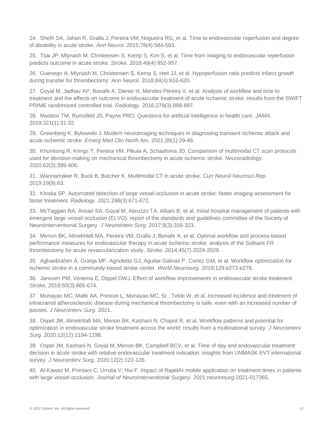24. Sheth SA, Jahan R, Gralla J, Pereira VM, Nogueira RG, et al. Time to endovascular reperfusion and degree of disability in acute stroke. *Ann Neurol*. 2015;78(4):584-593.

25. Tsai JP, Mlynash M, Christensen S, Kemp S, Kim S, et al. Time from imaging to endovascular reperfusion predicts outcome in acute stroke. *Stroke*. 2018;49(4):952-957.

<span id="page-12-0"></span>26. Guenego A, Mlynash M, Christensen S, Kemp S, Heit JJ, et al. Hypoperfusion ratio predicts infarct growth during transfer for thrombectomy. *Ann Neurol*. 2018;84(4):616-620.

<span id="page-12-1"></span>27. Goyal M, Jadhav AP, Bonafe A, Diener H, Mendes Pereira V, et al. Analysis of workflow and time to treatment and the effects on outcome in endovascular treatment of acute ischemic stroke: results from the SWIFT PRIME randomized controlled trial. *Radiology*. 2016;279(3):888-897.

<span id="page-12-2"></span>28. Maddox TM, Rumsfeld JS, Payne PRO. Questions for artificial intelligence in health care. *JAMA*. 2019;321(1):31-32.

<span id="page-12-3"></span>29. Greenberg K, Bykowski J. Modern neuroimaging techniques in diagnosing transient ischemic attack and acute ischemic stroke. *Emerg Med Clin North Am*. 2021;39(1):29-46.

30. Khumtong R, Krings T, Pereira VM, Pikula A, Schaafsma JD. Comparison of multimodal CT scan protocols used for decision-making on mechanical thrombectomy in acute ischemic stroke. *Neuroradiology*. 2020;62(3):399-406.

31. Wannamaker R, Buck B, Butcher K. Multimodal CT in acute stroke. *Curr Neurol Neurosci Rep*. 2019;19(9):63.

<span id="page-12-4"></span>32. Kloska SP. Automated detection of large vessel occlusion in acute stroke: faster imaging assessment for faster treatment. *Radiology*. 2021;298(3):671-672.

<span id="page-12-5"></span>33. McTaggart RA, Ansari SA, Goyal M, Abruzzo TA, Albani B, et al. Initial hospital management of patients with emergent large vessel occlusion (ELVO): report of the standards and guidelines committee of the Society of NeuroInterventional Surgery. *J Neurointerv Surg*. 2017;9(3):316-323.

<span id="page-12-6"></span>34. Menon BK, Almekhlafi MA, Pereira VM, Gralla J, Bonafe A, et al. Optimal workflow and process-based performance measures for endovascular therapy in acute ischemic stroke: analysis of the Solitaire FR thrombectomy for acute revascularization study. *Stroke*. 2014;45(7):2024-2029.

35. Aghaebrahim A, Granja MF, Agnoletto GJ, Aguilar-Salinas P, Cortez GM, et al. Workflow optimization for ischemic stroke in a community-based stroke center. *World Neurosurg*. 2019;129:e273-e278.

36. Janssen PM, Venema E, Dippel DWJ. Effect of workflow improvements in endovascular stroke treatment. *Stroke*. 2019;50(3):665-674.

37. Monayao MC, Malik AA, Preston L, Monayao MC, Sr., Tekle W, et al. Increased incidence and treatment of intracranial atherosclerotic disease during mechanical thrombectomy is safe, even with an increased number of passes. *J Neurointerv Surg*. 2021.

38. Ospel JM, Almekhlafi MA, Menon BK, Kashani N, Chapot R, et al. Workflow patterns and potential for optimization in endovascular stroke treatment across the world: results from a multinational survey. *J Neurointerv Surg*. 2020;12(12):1194-1198.

39. Ospel JM, Kashani N, Goyal M, Menon BK, Campbell BCV, et al. Time of day and endovascular treatment decision in acute stroke with relative endovascular treatment indication: insights from UNMASK EVT international survey. *J Neurointerv Surg*. 2020;12(2):122-126.

<span id="page-12-7"></span>40. Al-Kawaz M, Primiani C, Urrutia V, Hui F. Impact of RapidAI mobile application on treatment times in patients with large vessel occlusion. *Journal of NeuroInterventional Surgery*. 2021:neurintsurg-2021-017365.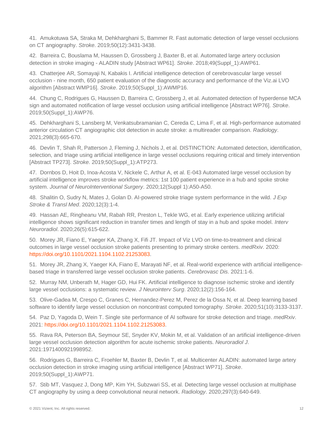<span id="page-13-10"></span>41. Amukotuwa SA, Straka M, Dehkharghani S, Bammer R. Fast automatic detection of large vessel occlusions on CT angiography. *Stroke*. 2019;50(12):3431-3438.

<span id="page-13-2"></span>42. Barreira C, Bouslama M, Haussen D, Grossberg J, Baxter B, et al. Automated large artery occlusion detection in stroke imaging - ALADIN study [Abstract WP61]. *Stroke*. 2018;49(Suppl\_1):AWP61.

<span id="page-13-3"></span>43. Chatterjee AR, Somayaji N, Kabakis I. Artificial intelligence detection of cerebrovascular large vessel occlusion - nine month, 650 patient evaluation of the diagnostic accuracy and performance of the Viz.ai LVO algorithm [Abstract WMP16]. *Stroke*. 2019;50(Suppl\_1):AWMP16.

44. Chung C, Rodrigues G, Haussen D, Barreira C, Grossberg J, et al. Automated detection of hyperdense MCA sign and automated notification of large vessel occlusion using artificial intelligence [Abstract WP76]. *Stroke*. 2019;50(Suppl\_1):AWP76.

<span id="page-13-9"></span>45. Dehkharghani S, Lansberg M, Venkatsubramanian C, Cereda C, Lima F, et al. High-performance automated anterior circulation CT angiographic clot detection in acute stroke: a multireader comparison. *Radiology*. 2021;298(3):665-670.

46. Devlin T, Shah R, Patterson J, Fleming J, Nichols J, et al. DISTINCTION: Automated detection, identification, selection, and triage using artificial intelligence in large vessel occlusions requiring critical and timely intervention [Abstract TP273]. *Stroke*. 2019;50(Suppl\_1):ATP273.

<span id="page-13-5"></span>47. Dornbos D, Hoit D, Inoa-Acosta V, Nickele C, Arthur A, et al. E-043 Automated large vessel occlusion by artificial intelligence improves stroke workflow metrics: 1st 100 patient experience in a hub and spoke stroke system. *Journal of NeuroInterventional Surgery*. 2020;12(Suppl 1):A50-A50.

<span id="page-13-4"></span>48. Shalitin O, Sudry N, Mates J, Golan D. AI-powered stroke triage system performance in the wild. *J Exp Stroke & Transl Med*. 2020;12(3):1-4.

<span id="page-13-8"></span>49. Hassan AE, Ringheanu VM, Rabah RR, Preston L, Tekle WG, et al. Early experience utilizing artificial intelligence shows significant reduction in transfer times and length of stay in a hub and spoke model. *Interv Neuroradiol*. 2020;26(5):615-622.

<span id="page-13-6"></span>50. Morey JR, Fiano E, Yaeger KA, Zhang X, Fifi JT. Impact of Viz LVO on time-to-treatment and clinical outcomes in large vessel occlusion stroke patients presenting to primary stroke centers. *medRxiv*. 2020: [https://doi.org/10.1101/2021.1104.1102.21253083.](https://doi.org/10.1101/2021.1104.1102.21253083)

<span id="page-13-7"></span>51. Morey JR, Zhang X, Yaeger KA, Fiano E, Marayati NF, et al. Real-world experience with artificial intelligencebased triage in transferred large vessel occlusion stroke patients. *Cerebrovasc Dis*. 2021:1-6.

<span id="page-13-0"></span>52. Murray NM, Unberath M, Hager GD, Hui FK. Artificial intelligence to diagnose ischemic stroke and identify large vessel occlusions: a systematic review. *J Neurointerv Surg*. 2020;12(2):156-164.

<span id="page-13-13"></span>53. Olive-Gadea M, Crespo C, Granes C, Hernandez-Perez M, Perez de la Ossa N, et al. Deep learning based software to identify large vessel occlusion on noncontrast computed tomography. *Stroke*. 2020;51(10):3133-3137.

<span id="page-13-11"></span>54. Paz D, Yagoda D, Wein T. Single site performance of AI software for stroke detection and triage. *medRxiv*. 2021: [https://doi.org/10.1101/2021.1104.1102.21253083.](https://doi.org/10.1101/2021.1104.1102.21253083)

<span id="page-13-12"></span>55. Rava RA, Peterson BA, Seymour SE, Snyder KV, Mokin M, et al. Validation of an artificial intelligence-driven large vessel occlusion detection algorithm for acute ischemic stroke patients. *Neuroradiol J*. 2021:1971400921998952.

<span id="page-13-1"></span>56. Rodrigues G, Barreira C, Froehler M, Baxter B, Devlin T, et al. Multicenter ALADIN: automated large artery occlusion detection in stroke imaging using artificial intelligence [Abstract WP71]. *Stroke*. 2019;50(Suppl\_1):AWP71.

57. Stib MT, Vasquez J, Dong MP, Kim YH, Subzwari SS, et al. Detecting large vessel occlusion at multiphase CT angiography by using a deep convolutional neural network. *Radiology*. 2020;297(3):640-649.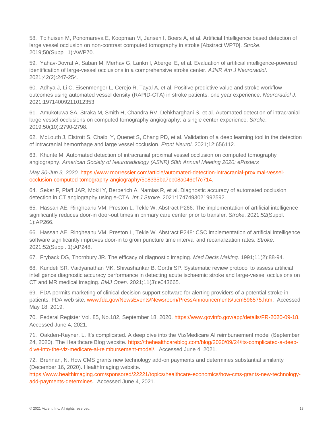<span id="page-14-9"></span>58. Tolhuisen M, Ponomareva E, Koopman M, Jansen I, Boers A, et al. Artificial Intelligence based detection of large vessel occlusion on non-contrast computed tomography in stroke [Abstract WP70]. *Stroke*. 2019;50(Suppl\_1):AWP70.

<span id="page-14-3"></span>59. Yahav-Dovrat A, Saban M, Merhav G, Lankri I, Abergel E, et al. Evaluation of artificial intelligence-powered identification of large-vessel occlusions in a comprehensive stroke center. *AJNR Am J Neuroradiol*. 2021;42(2):247-254.

<span id="page-14-7"></span>60. Adhya J, Li C, Eisenmenger L, Cerejo R, Tayal A, et al. Positive predictive value and stroke workflow outcomes using automated vessel density (RAPID-CTA) in stroke patients: one year experience. *Neuroradiol J*. 2021:19714009211012353.

<span id="page-14-6"></span>61. Amukotuwa SA, Straka M, Smith H, Chandra RV, Dehkharghani S, et al. Automated detection of intracranial large vessel occlusions on computed tomography angiography: a single center experience. *Stroke*. 2019;50(10):2790-2798.

<span id="page-14-10"></span>62. McLouth J, Elstrott S, Chaibi Y, Quenet S, Chang PD, et al. Validation of a deep learning tool in the detection of intracranial hemorrhage and large vessel occlusion. *Front Neurol*. 2021;12:656112.

<span id="page-14-8"></span>63. Khunte M. Automated detection of intracranial proximal vessel occlusion on computed tomography angiography. *American Society of Neuroradiology (ASNR) 58th Annual Meeting 2020: ePosters*

*May 30-Jun 3, 2020*. [https://www.morressier.com/article/automated-detection-intracranial-proximal-vessel](https://www.morressier.com/article/automated-detection-intracranial-proximal-vessel-occlusion-computed-tomography-angiography/5e8335ba7cb08a046ef7c714)[occlusion-computed-tomography-angiography/5e8335ba7cb08a046ef7c714.](https://www.morressier.com/article/automated-detection-intracranial-proximal-vessel-occlusion-computed-tomography-angiography/5e8335ba7cb08a046ef7c714)

<span id="page-14-11"></span>64. Seker F, Pfaff JAR, Mokli Y, Berberich A, Namias R, et al. Diagnostic accuracy of automated occlusion detection in CT angiography using e-CTA. *Int J Stroke*. 2021:1747493021992592.

<span id="page-14-4"></span>65. Hassan AE, Ringheanu VM, Preston L, Tekle W. Abstract P266: The implementation of artificial intelligence significantly reduces door-in door-out times in primary care center prior to transfer. *Stroke*. 2021;52(Suppl. 1):AP266.

<span id="page-14-5"></span>66. Hassan AE, Ringheanu VM, Preston L, Tekle W. Abstract P248: CSC implementation of artificial intelligence software significantly improves door-in to groin puncture time interval and recanalization rates. *Stroke*. 2021;52(Suppl. 1):AP248.

<span id="page-14-0"></span>67. Fryback DG, Thornbury JR. The efficacy of diagnostic imaging. *Med Decis Making*. 1991;11(2):88-94.

<span id="page-14-1"></span>68. Kundeti SR, Vaidyanathan MK, Shivashankar B, Gorthi SP. Systematic review protocol to assess artificial intelligence diagnostic accuracy performance in detecting acute ischaemic stroke and large-vessel occlusions on CT and MR medical imaging. *BMJ Open*. 2021;11(3):e043665.

<span id="page-14-2"></span>69. FDA permits marketing of clinical decision support software for alerting providers of a potential stroke in patients. FDA web site. [www.fda.gov/NewsEvents/Newsroom/PressAnnouncements/ucm596575.htm.](www.fda.gov/NewsEvents/Newsroom/PressAnnouncements/ucm596575.htm) Accessed May 18, 2019.

<span id="page-14-12"></span>70. Federal Register Vol. 85, No.182, September 18, 2020. [https://www.govinfo.gov/app/details/FR-2020-09-18.](https://www.govinfo.gov/app/details/FR-2020-09-18) Accessed June 4, 2021.

<span id="page-14-13"></span>71. Oakden-Rayner, L. It's complicated. A deep dive into the Viz/Medicare AI reimbursement model (September 24, 2020). The Healthcare Blog website. [https://thehealthcareblog.com/blog/2020/09/24/its-complicated-a-deep](https://thehealthcareblog.com/blog/2020/09/24/its-complicated-a-deep-dive-into-the-viz-medicare-ai-reimbursement-model/)[dive-into-the-viz-medicare-ai-reimbursement-model/.](https://thehealthcareblog.com/blog/2020/09/24/its-complicated-a-deep-dive-into-the-viz-medicare-ai-reimbursement-model/) Accessed June 4, 2021.

<span id="page-14-14"></span>72. Brennan, N. How CMS grants new technology add-on payments and determines substantial similarity (December 16, 2020). HealthImaging website.

[https://www.healthimaging.com/sponsored/22221/topics/healthcare-economics/how-cms-grants-new-technology](https://www.healthimaging.com/sponsored/22221/topics/healthcare-economics/how-cms-grants-new-technology-add-payments-determines)[add-payments-determines.](https://www.healthimaging.com/sponsored/22221/topics/healthcare-economics/how-cms-grants-new-technology-add-payments-determines) Accessed June 4, 2021.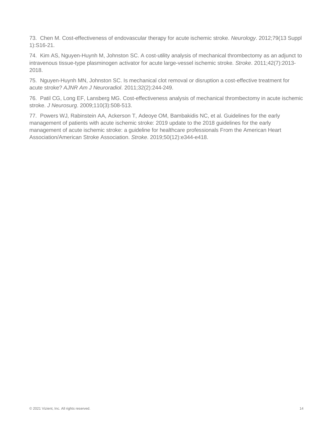<span id="page-15-0"></span>73. Chen M. Cost-effectiveness of endovascular therapy for acute ischemic stroke. *Neurology*. 2012;79(13 Suppl 1):S16-21.

<span id="page-15-1"></span>74. Kim AS, Nguyen-Huynh M, Johnston SC. A cost-utility analysis of mechanical thrombectomy as an adjunct to intravenous tissue-type plasminogen activator for acute large-vessel ischemic stroke. *Stroke*. 2011;42(7):2013- 2018.

75. Nguyen-Huynh MN, Johnston SC. Is mechanical clot removal or disruption a cost-effective treatment for acute stroke? *AJNR Am J Neuroradiol*. 2011;32(2):244-249.

76. Patil CG, Long EF, Lansberg MG. Cost-effectiveness analysis of mechanical thrombectomy in acute ischemic stroke. *J Neurosurg*. 2009;110(3):508-513.

<span id="page-15-2"></span>77. Powers WJ, Rabinstein AA, Ackerson T, Adeoye OM, Bambakidis NC, et al. Guidelines for the early management of patients with acute ischemic stroke: 2019 update to the 2018 guidelines for the early management of acute ischemic stroke: a guideline for healthcare professionals From the American Heart Association/American Stroke Association. *Stroke*. 2019;50(12):e344-e418.